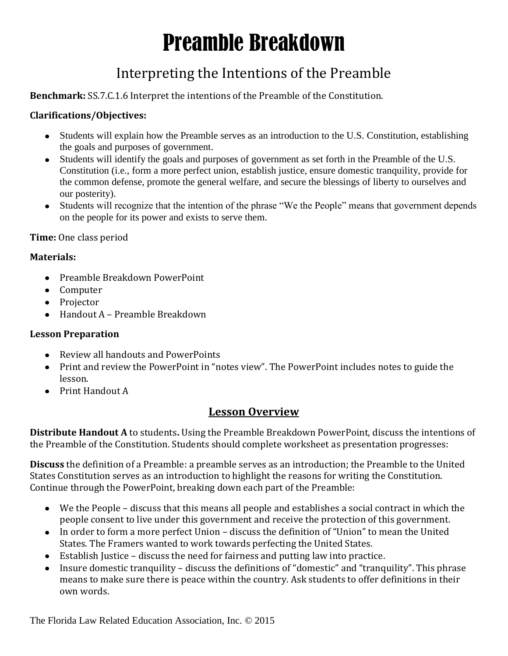# Preamble Breakdown

### Interpreting the Intentions of the Preamble

**Benchmark:** SS.7.C.1.6 Interpret the intentions of the Preamble of the Constitution.

#### **Clarifications/Objectives:**

- Students will explain how the Preamble serves as an introduction to the U.S. Constitution, establishing the goals and purposes of government.
- Students will identify the goals and purposes of government as set forth in the Preamble of the U.S.  $\bullet$ Constitution (i.e., form a more perfect union, establish justice, ensure domestic tranquility, provide for the common defense, promote the general welfare, and secure the blessings of liberty to ourselves and our posterity).
- $\bullet$ Students will recognize that the intention of the phrase "We the People" means that government depends on the people for its power and exists to serve them.

**Time:** One class period

#### **Materials:**

- Preamble Breakdown PowerPoint
- Computer
- Projector
- Handout A Preamble Breakdown

#### **Lesson Preparation**

- Review all handouts and PowerPoints
- Print and review the PowerPoint in "notes view". The PowerPoint includes notes to guide the lesson.
- Print Handout A

#### **Lesson Overview**

**Distribute Handout A** to students**.** Using the Preamble Breakdown PowerPoint, discuss the intentions of the Preamble of the Constitution. Students should complete worksheet as presentation progresses:

**Discuss** the definition of a Preamble: a preamble serves as an introduction; the Preamble to the United States Constitution serves as an introduction to highlight the reasons for writing the Constitution. Continue through the PowerPoint, breaking down each part of the Preamble:

- We the People discuss that this means all people and establishes a social contract in which the people consent to live under this government and receive the protection of this government.
- In order to form a more perfect Union discuss the definition of "Union" to mean the United States. The Framers wanted to work towards perfecting the United States.
- Establish Justice discuss the need for fairness and putting law into practice.
- Insure domestic tranquility discuss the definitions of "domestic" and "tranquility". This phrase means to make sure there is peace within the country. Ask students to offer definitions in their own words.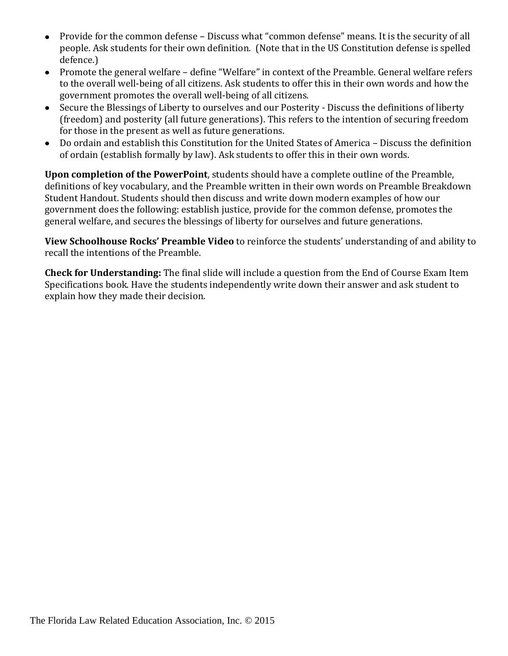- Provide for the common defense Discuss what "common defense" means. It is the security of all  $\bullet$ people. Ask students for their own definition. (Note that in the US Constitution defense is spelled defence.)
- Promote the general welfare define "Welfare" in context of the Preamble. General welfare refers  $\bullet$ to the overall well-being of all citizens. Ask students to offer this in their own words and how the government promotes the overall well-being of all citizens.
- Secure the Blessings of Liberty to ourselves and our Posterity Discuss the definitions of liberty  $\bullet$ (freedom) and posterity (all future generations). This refers to the intention of securing freedom for those in the present as well as future generations.
- Do ordain and establish this Constitution for the United States of America Discuss the definition  $\bullet$ of ordain (establish formally by law). Ask students to offer this in their own words.

**Upon completion of the PowerPoint**, students should have a complete outline of the Preamble, definitions of key vocabulary, and the Preamble written in their own words on Preamble Breakdown Student Handout. Students should then discuss and write down modern examples of how our government does the following: establish justice, provide for the common defense, promotes the general welfare, and secures the blessings of liberty for ourselves and future generations.

**View Schoolhouse Rocks' Preamble Video** to reinforce the students' understanding of and ability to recall the intentions of the Preamble.

**Check for Understanding:** The final slide will include a question from the End of Course Exam Item Specifications book. Have the students independently write down their answer and ask student to explain how they made their decision.